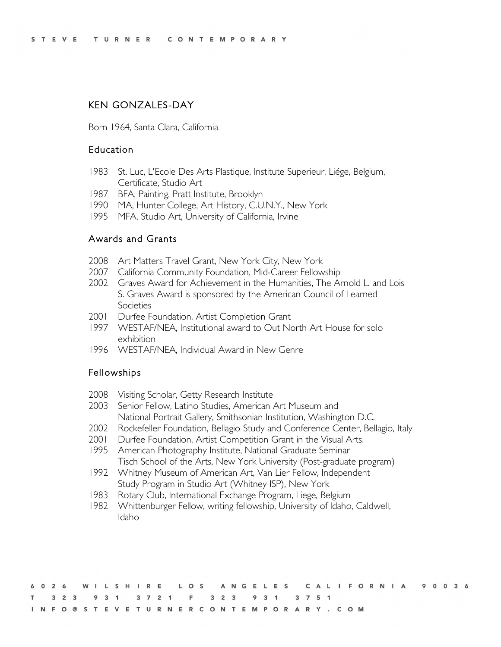## KEN GONZALES-DAY

Born 1964, Santa Clara, California

### Education

- 1983 St. Luc, L'Ecole Des Arts Plastique, Institute Superieur, Liége, Belgium, Certificate, Studio Art
- 1987 BFA, Painting, Pratt Institute, Brooklyn
- 1990 MA, Hunter College, Art History, C.U.N.Y., New York
- 1995 MFA, Studio Art, University of California, Irvine

### Awards and Grants

- 2008 Art Matters Travel Grant, New York City, New York
- 2007 California Community Foundation, Mid-Career Fellowship
- 2002 Graves Award for Achievement in the Humanities, The Arnold L. and Lois S. Graves Award is sponsored by the American Council of Learned **Societies**
- 2001 Durfee Foundation, Artist Completion Grant
- 1997 WESTAF/NEA, Institutional award to Out North Art House for solo exhibition
- 1996 WESTAF/NEA, Individual Award in New Genre

### Fellowships

- 2008 Visiting Scholar, Getty Research Institute
- 2003 Senior Fellow, Latino Studies, American Art Museum and National Portrait Gallery, Smithsonian Institution, Washington D.C.
- 2002 Rockefeller Foundation, Bellagio Study and Conference Center, Bellagio, Italy
- 2001 Durfee Foundation, Artist Competition Grant in the Visual Arts.
- 1995 American Photography Institute, National Graduate Seminar Tisch School of the Arts, New York University (Post-graduate program)
- 1992 Whitney Museum of American Art, Van Lier Fellow, Independent Study Program in Studio Art (Whitney ISP), New York
- 1983 Rotary Club, International Exchange Program, Liege, Belgium
- 1982 Whittenburger Fellow, writing fellowship, University of Idaho, Caldwell, Idaho

|  |  |  |  |  |  |                                                                 |  |  |  |  |  |  |  |  |  |  | 6026 WILSHIRE LOS ANGELES CALIFORNIA 90036 |  |  |  |
|--|--|--|--|--|--|-----------------------------------------------------------------|--|--|--|--|--|--|--|--|--|--|--------------------------------------------|--|--|--|
|  |  |  |  |  |  | T 3 2 3 9 3 1 3 7 2 1 F 3 2 3 9 3 1 3 7 5 1                     |  |  |  |  |  |  |  |  |  |  |                                            |  |  |  |
|  |  |  |  |  |  | I N F O @ S T E V E T U R N E R C O N T E M P O R A R Y . C O M |  |  |  |  |  |  |  |  |  |  |                                            |  |  |  |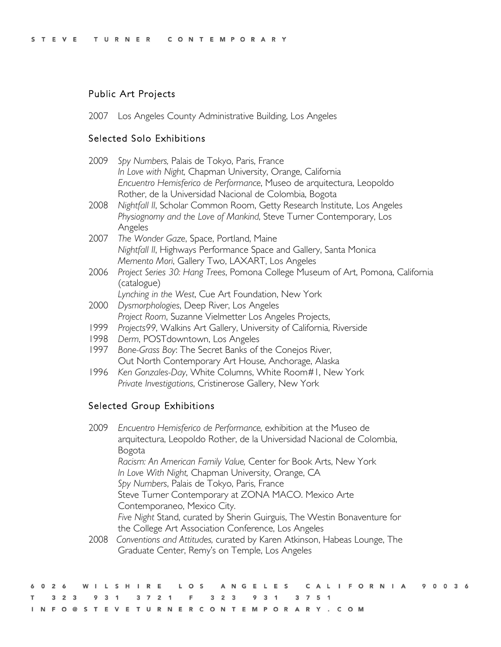# Public Art Projects

2007 Los Angeles County Administrative Building, Los Angeles

## Selected Solo Exhibitions

| 2009 | Spy Numbers, Palais de Tokyo, Paris, France                                     |
|------|---------------------------------------------------------------------------------|
|      | In Love with Night, Chapman University, Orange, California                      |
|      | Encuentro Hemisferico de Performance, Museo de arquitectura, Leopoldo           |
|      | Rother, de la Universidad Nacional de Colombia, Bogota                          |
| 2008 | Nightfall II, Scholar Common Room, Getty Research Institute, Los Angeles        |
|      | Physiognomy and the Love of Mankind, Steve Turner Contemporary, Los             |
|      | Angeles                                                                         |
|      | 2007 The Wonder Gaze, Space, Portland, Maine                                    |
|      | Nightfall II, Highways Performance Space and Gallery, Santa Monica              |
|      | Memento Mori, Gallery Two, LAXART, Los Angeles                                  |
| 2006 | Project Series 30: Hang Trees, Pomona College Museum of Art, Pomona, California |
|      | (catalogue)                                                                     |
|      | Lynching in the West, Cue Art Foundation, New York                              |
| 2000 | Dysmorphologies, Deep River, Los Angeles                                        |
|      | Project Room, Suzanne Vielmetter Los Angeles Projects,                          |
| 1999 | Projects99, Walkins Art Gallery, University of California, Riverside            |
| 1998 | Derm, POST downtown, Los Angeles                                                |

- 1997 *Bone-Grass Boy*: The Secret Banks of the Conejos River, Out North Contemporary Art House, Anchorage, Alaska
- 1996 *Ken Gonzales-Day*, White Columns, White Room#1, New York *Private Investigations*, Cristinerose Gallery, New York

# Selected Group Exhibitions

| 2009 | Encuentro Hemisferico de Performance, exhibition at the Museo de         |
|------|--------------------------------------------------------------------------|
|      | arquitectura, Leopoldo Rother, de la Universidad Nacional de Colombia,   |
|      | Bogota                                                                   |
|      | Racism: An American Family Value, Center for Book Arts, New York         |
|      | In Love With Night, Chapman University, Orange, CA                       |
|      | Spy Numbers, Palais de Tokyo, Paris, France                              |
|      | Steve Turner Contemporary at ZONA MACO. Mexico Arte                      |
|      | Contemporaneo, Mexico City.                                              |
|      | Five Night Stand, curated by Sherin Guirguis, The Westin Bonaventure for |
|      | the College Art Association Conference, Los Angeles                      |
| 2008 | Conventions and Attitudes, curated by Karen Atkinson, Habeas Lounge, The |
|      | Graduate Center, Remy's on Temple, Los Angeles                           |

|  |  |                                             |  |  |  |  |  |  |  |  |  |  |  |  |  |  | 6026 WILSHIRE LOS ANGELES CALIFORNIA 90036 |  |  |  |
|--|--|---------------------------------------------|--|--|--|--|--|--|--|--|--|--|--|--|--|--|--------------------------------------------|--|--|--|
|  |  | T 3 2 3 9 3 1 3 7 2 1 F 3 2 3 9 3 1 3 7 5 1 |  |  |  |  |  |  |  |  |  |  |  |  |  |  |                                            |  |  |  |
|  |  | INFO@STEVETURNERCONTEMPORARY.COM            |  |  |  |  |  |  |  |  |  |  |  |  |  |  |                                            |  |  |  |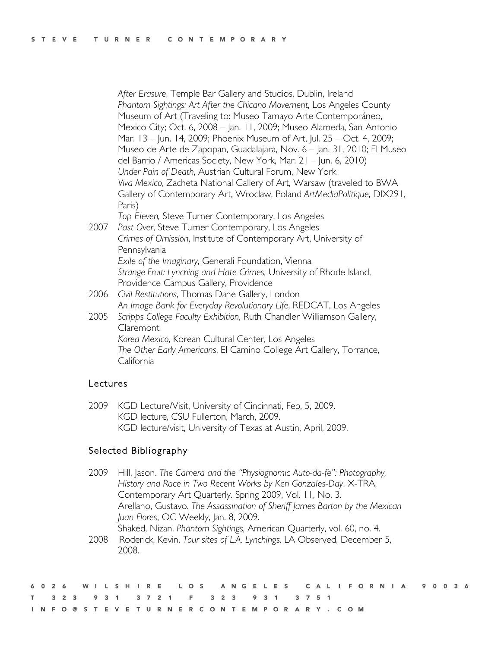*After Erasure*, Temple Bar Gallery and Studios, Dublin, Ireland *Phantom Sightings: Art After the Chicano Movement*, Los Angeles County Museum of Art (Traveling to: Museo Tamayo Arte Contemporáneo, Mexico City; Oct. 6, 2008 – Jan. 11, 2009; Museo Alameda, San Antonio Mar. 13 – Jun. 14, 2009; Phoenix Museum of Art, Jul. 25 – Oct. 4, 2009; Museo de Arte de Zapopan, Guadalajara, Nov. 6 – Jan. 31, 2010; El Museo del Barrio / Americas Society, New York, Mar. 21 – Jun. 6, 2010) *Under Pain of Death*, Austrian Cultural Forum, New York *Viva Mexico*, Zacheta National Gallery of Art, Warsaw (traveled to BWA Gallery of Contemporary Art, Wroclaw, Poland *ArtMediaPolitique*, DIX291, Paris) *Top Eleven,* Steve Turner Contemporary, Los Angeles

- 2007 *Past Over*, Steve Turner Contemporary, Los Angeles *Crimes of Omission*, Institute of Contemporary Art, University of Pennsylvania *Exile of the Imaginary*, Generali Foundation, Vienna *Strange Fruit: Lynching and Hate Crimes,* University of Rhode Island, Providence Campus Gallery, Providence
- 2006 *Civil Restitutions*, Thomas Dane Gallery, London *An Image Bank for Everyday Revolutionary Life*, REDCAT, Los Angeles
- 2005 *Scripps College Faculty Exhibition*, Ruth Chandler Williamson Gallery, Claremont *Korea Mexico*, Korean Cultural Center, Los Angeles *The Other Early Americans*, El Camino College Art Gallery, Torrance, California

### Lectures

2009 KGD Lecture/Visit, University of Cincinnati, Feb, 5, 2009. KGD lecture, CSU Fullerton, March, 2009. KGD lecture/visit, University of Texas at Austin, April, 2009.

### Selected Bibliography

- 2009 Hill, Jason. *The Camera and the "Physiognomic Auto-da-fe": Photography, History and Race in Two Recent Works by Ken Gonzales-Day*. X-TRA, Contemporary Art Quarterly. Spring 2009, Vol. 11, No. 3. Arellano, Gustavo. *The Assassination of Sheriff James Barton by the Mexican Juan Flores*, OC Weekly, Jan. 8, 2009. Shaked, Nizan. *Phantom Sightings,* American Quarterly, vol. 60, no. 4.
- 2008 Roderick, Kevin. *Tour sites of L.A. Lynchings*. LA Observed, December 5, 2008.

|  |  |  |  |                                             |  |  |  |  |  |  |  |  |  |  |  |  | 6026 WILSHIRE LOS ANGELES CALIFORNIA 90036 |  |  |  |
|--|--|--|--|---------------------------------------------|--|--|--|--|--|--|--|--|--|--|--|--|--------------------------------------------|--|--|--|
|  |  |  |  | T 3 2 3 9 3 1 3 7 2 1 F 3 2 3 9 3 1 3 7 5 1 |  |  |  |  |  |  |  |  |  |  |  |  |                                            |  |  |  |
|  |  |  |  | INFO@STEVETURNERCONTEMPORARY.COM            |  |  |  |  |  |  |  |  |  |  |  |  |                                            |  |  |  |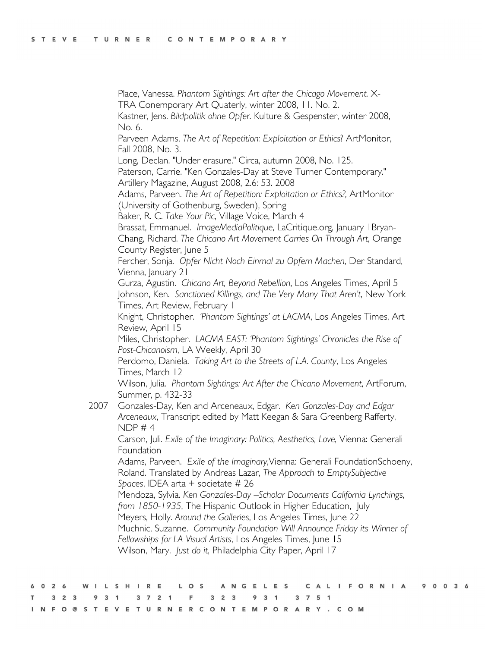Place, Vanessa. *Phantom Sightings: Art after the Chicago Movement*. X-TRA Conemporary Art Quaterly, winter 2008, 11. No. 2. Kastner, Jens. *Bildpolitik ohne Opfer*. Kulture & Gespenster, winter 2008,

No. 6.

Parveen Adams, *The Art of Repetition: Exploitation or Ethics*? ArtMonitor, Fall 2008, No. 3.

Long, Declan. "Under erasure." Circa, autumn 2008, No. 125.

 Paterson, Carrie. "Ken Gonzales-Day at Steve Turner Contemporary." Artillery Magazine, August 2008, 2.6: 53. 2008

Adams, Parveen. *The Art of Repetition: Exploitation or Ethics?,* ArtMonitor (University of Gothenburg, Sweden), Spring

Baker, R. C. *Take Your Pic*, Village Voice, March 4

Brassat, Emmanuel. *ImageMediaPolitique*, LaCritique.org, January 1Bryan-Chang, Richard. *The Chicano Art Movement Carries On Through Art*, Orange

County Register, June 5

Fercher, Sonja. *Opfer Nicht Noch Einmal zu Opfern Machen*, Der Standard, Vienna, January 21

Gurza, Agustin. *Chicano Art, Beyond Rebellion*, Los Angeles Times, April 5 Johnson, Ken. *Sanctioned Killings, and The Very Many That Aren't*, New York Times, Art Review, February 1

Knight, Christopher. *'Phantom Sightings' at LACMA*, Los Angeles Times, Art Review, April 15

Miles, Christopher. *LACMA EAST: 'Phantom Sightings' Chronicles the Rise of Post-Chicanoism*, LA Weekly, April 30

Perdomo, Daniela. *Taking Art to the Streets of L.A. County*, Los Angeles Times, March 12

Wilson, Julia. *Phantom Sightings: Art After the Chicano Movement*, ArtForum, Summer, p. 432-33

2007 Gonzales-Day, Ken and Arceneaux, Edgar. *Ken Gonzales-Day and Edgar Arceneaux*, Transcript edited by Matt Keegan & Sara Greenberg Rafferty,  $NDP \# 4$ 

Carson, Juli. *Exile of the Imaginary: Politics, Aesthetics, Love*, Vienna: Generali **Foundation** 

Adams, Parveen. *Exile of the Imaginary*,Vienna: Generali FoundationSchoeny, Roland. Translated by Andreas Lazar, *The Approach to EmptySubjective Spaces*, IDEA arta + societate # 26

Mendoza, Sylvia. *Ken Gonzales-Day –Scholar Documents California Lynchings*, *from 1850-1935*, The Hispanic Outlook in Higher Education, July

Meyers, Holly. *Around the Galleries*, Los Angeles Times, June 22 Muchnic, Suzanne. *Community Foundation Will Announce Friday its Winner of* 

*Fellowships for LA Visual Artists*, Los Angeles Times, June 15 Wilson, Mary. *Just do it*, Philadelphia City Paper, April 17

|  |  |  |  |  |  |  |  |  |  |  |  |                                             |  |  |  |  | 6026 WILSHIRE LOS ANGELES CALIFORNIA 90036 |  |  |  |
|--|--|--|--|--|--|--|--|--|--|--|--|---------------------------------------------|--|--|--|--|--------------------------------------------|--|--|--|
|  |  |  |  |  |  |  |  |  |  |  |  | T 3 2 3 9 3 1 3 7 2 1 F 3 2 3 9 3 1 3 7 5 1 |  |  |  |  |                                            |  |  |  |
|  |  |  |  |  |  |  |  |  |  |  |  | INFO@STEVETURNERCONTEMPORARY.COM            |  |  |  |  |                                            |  |  |  |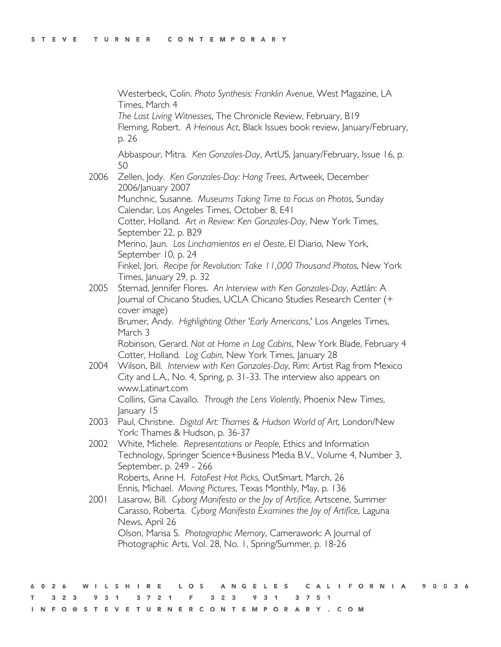Westerbeck, Colin. *Photo Synthesis: Franklin Avenue*, West Magazine, LA Times, March 4 *The Last Living Witnesses*, The Chronicle Review, February, B19 Fleming, Robert. *A Heinous Act*, Black Issues book review, January/February, p. 26 Abbaspour, Mitra. *Ken Gonzales-Day*, ArtUS, January/February, Issue 16, p. 50 2006 Zellen, Jody. *Ken Gonzales-Day: Hang Trees*, Artweek, December 2006/January 2007 Munchnic, Susanne. *Museums Taking Time to Focus on Photos*, Sunday Calendar, Los Angeles Times, October 8, E41 Cotter, Holland. *Art in Review: Ken Gonzales-Day*, New York Times, September 22, p. B29 Merino, Jaun. *Los Linchamientos en el Oeste*, El Diario, New York, September 10, p. 24 Finkel, Jori. *Recipe for Revolution: Take 11,000 Thousand Photos*, New York Times, January 29, p. 32 2005 Sternad, Jennifer Flores. *An Interview with Ken Gonzales-Day*, Aztlán: A Journal of Chicano Studies, UCLA Chicano Studies Research Center (+ cover image) Brumer, Andy. *Highlighting Other 'Early Americans*,' Los Angeles Times, March 3 Robinson, Gerard. *Not at Home in Log Cabins*, New York Blade, February 4 Cotter, Holland. *Log Cabin*, New York Times, January 28 2004 Wilson, Bill. *Interview with Ken Gonzales-Day*, Rim: Artist Rag from Mexico City and L.A., No. 4, Spring, p. 31-33. The interview also appears on www.Latinart.com Collins, Gina Cavallo. *Through the Lens Violently*, Phoenix New Times, January 15 2003 Paul, Christine. *Digital Art: Thames & Hudson World of Art*, London/New York: Thames & Hudson, p. 36-37 2002 White, Michele. *Representations or People*, Ethics and Information Technology, Springer Science+Business Media B.V., Volume 4, Number 3, September, p. 249 - 266 Roberts, Anne H. *FotoFest Hot Picks*, OutSmart, March, 26 Ennis, Michael. *Moving Pictures*, Texas Monthly, May, p. 136 2001 Lasarow, Bill. *Cyborg Manifesto or the Joy of Artifice,* Artscene, Summer Carasso, Roberta. *Cyborg Manifesto Examines the Joy of Artifice*, Laguna News, April 26 Olson, Marisa S. *Photographic Memory*, Camerawork: A Journal of Photographic Arts, Vol. 28, No. 1, Spring/Summer, p. 18-26

A N G E CAL **IFORNIA** 9 0 0 3 6  $\Omega$  $\overline{2}$  $S$  H  $\mathbf{1}$  $\mathbb{R}$ E L.  $O<sub>S</sub>$ L E S 6 L  $2<sub>3</sub>$  $2<sup>3</sup>$ 3  $\overline{7}$  $\overline{2}$ E 3 9  $3<sup>1</sup>$ 3 7 5 1 INFO@STEVETURNERCONTEMPORARY.COM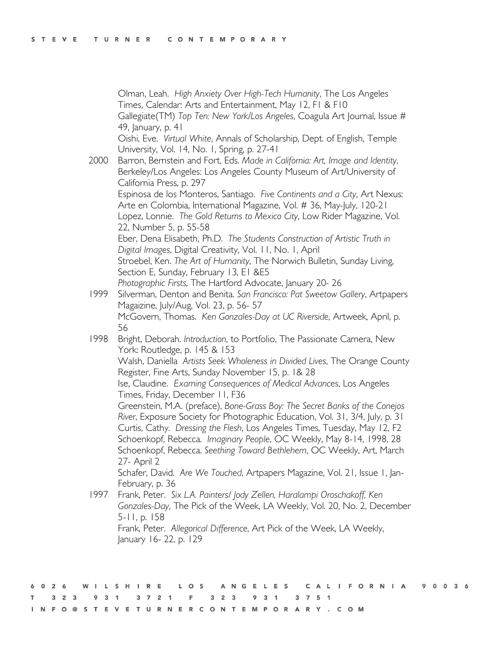Olman, Leah. *High Anxiety Over High-Tech Humanity*, The Los Angeles Times, Calendar: Arts and Entertainment, May 12, F1 & F10 Gallegiate(TM) *Top Ten: New York/Los Angeles*, Coagula Art Journal, Issue # 49, January, p. 41 Oishi, Eve. *Virtual White*, Annals of Scholarship, Dept. of English, Temple University, Vol. 14, No. 1, Spring, p. 27-41 2000 Barron, Bernstein and Fort, Eds. *Made in California: Art, Image and Identity*, Berkeley/Los Angeles: Los Angeles County Museum of Art/University of California Press, p. 297 Espinosa de los Monteros, Santiago. *Five Continents and a City*, Art Nexus: Arte en Colombia, International Magazine, Vol. # 36, May-July, 120-21 Lopez, Lonnie. *The Gold Returns to Mexico City*, Low Rider Magazine, Vol. 22, Number 5, p. 55-58 Eber, Dena Elisabeth, Ph.D. *The Students Construction of Artistic Truth in Digital Images*, Digital Creativity, Vol. 11, No. 1, April Stroebel, Ken. *The Art of Humanity*, The Norwich Bulletin, Sunday Living, Section E, Sunday, February 13, E1 &E5 *Photographic Firsts*, The Hartford Advocate, January 20- 26 1999 Silverman, Denton and Benita. *San Francisco: Pat Sweetow Gallery*, Artpapers Magaizine, July/Aug, Vol. 23, p. 56- 57 McGovern, Thomas. *Ken Gonzales-Day at UC Riverside*, Artweek, April, p. 56 1998 Bright, Deborah. *Introduction*, to Portfolio, The Passionate Camera, New York: Routledge, p. 145 & 153 Walsh, Daniella *Artists Seek Wholeness in Divided Lives*, The Orange County Register, Fine Arts, Sunday November 15, p. 1& 28 Ise, Claudine. *Examing Consequences of Medical Advances*, Los Angeles Times, Friday, December 11, F36 Greenstein, M.A. (preface), *Bone-Grass Boy: The Secret Banks of the Conejos River*, Exposure Society for Photographic Education, Vol. 31, 3/4, July, p. 31 Curtis, Cathy. *Dressing the Flesh*, Los Angeles Times, Tuesday, May 12, F2 Schoenkopf, Rebecca. *Imaginary People*, OC Weekly, May 8-14, 1998, 28 Schoenkopf, Rebecca. *Seething Toward Bethlehem*, OC Weekly, Art, March 27- April 2 Schafer, David. *Are We Touched*, Artpapers Magazine, Vol. 21, Issue 1, Jan-February, p. 36 1997 Frank, Peter. *Six L.A. Painters/ Jody Zellen, Haralampi Oroschakoff, Ken* 

*Gonzales-Day*, The Pick of the Week, LA Weekly, Vol. 20, No. 2, December 5-11, p. 158 Frank, Peter. *Allegorical Difference*, Art Pick of the Week, LA Weekly, January 16- 22, p. 129

I F O R N I A 9 0 0 3 6  $\Omega$  $\overline{2}$  $\mathsf{s}$  $H$  $\mathbb{R}$ E  $\circ$  $\mathsf{s}$ G E Е  $\mathsf{s}$ CAL 6 -1. N L 3  $\overline{7}$  $\overline{2}$  $\overline{2}$  $\overline{3}$  $\overline{7}$ 3 N F O @ S T E V E T U R N E R C O N T E M P O R A R Y . C O M